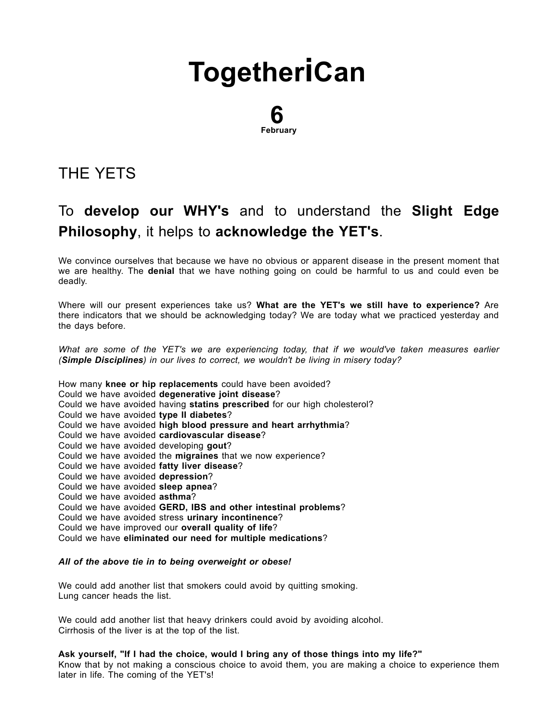# **[Together](http://togetherican.com/)iCan**

#### 6 February

## THE [YETS](file:///E:/GilbertStudios/clients/michaelMcCright/togetherican.com/wwwroot/events-180206a-The-Yets.html)

### To develop our WHY's and to understand the Slight Edge Philosophy, it helps to acknowledge the YET's.

We convince ourselves that because we have no obvious or apparent disease in the present moment that we are healthy. The denial that we have nothing going on could be harmful to us and could even be deadly.

Where will our present experiences take us? What are the YET's we still have to experience? Are there indicators that we should be acknowledging today? We are today what we practiced yesterday and the days before.

What are some of the YET's we are experiencing today, that if we would've taken measures earlier (Simple Disciplines) in our lives to correct, we wouldn't be living in misery today?

How many knee or hip replacements could have been avoided? Could we have avoided degenerative joint disease? Could we have avoided having statins prescribed for our high cholesterol? Could we have avoided type II diabetes? Could we have avoided high blood pressure and heart arrhythmia? Could we have avoided cardiovascular disease? Could we have avoided developing gout? Could we have avoided the migraines that we now experience? Could we have avoided fatty liver disease? Could we have avoided depression? Could we have avoided sleep apnea? Could we have avoided asthma? Could we have avoided GERD, IBS and other intestinal problems? Could we have avoided stress urinary incontinence? Could we have improved our overall quality of life? Could we have eliminated our need for multiple medications?

#### All of the above tie in to being overweight or obese!

We could add another list that smokers could avoid by quitting smoking. Lung cancer heads the list.

We could add another list that heavy drinkers could avoid by avoiding alcohol. Cirrhosis of the liver is at the top of the list.

Ask yourself, "If I had the choice, would I bring any of those things into my life?"

Know that by not making a conscious choice to avoid them, you are making a choice to experience them later in life. The coming of the YET's!